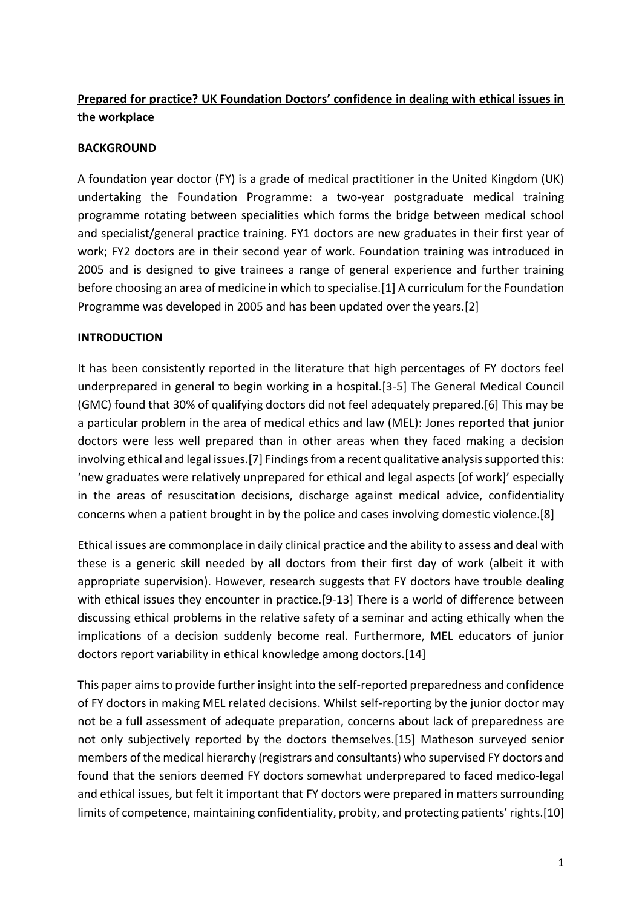# **Prepared for practice? UK Foundation Doctors' confidence in dealing with ethical issues in the workplace**

### **BACKGROUND**

A foundation year doctor (FY) is a grade of medical practitioner in the United Kingdom (UK) undertaking the Foundation Programme: a two-year postgraduate medical training programme rotating between specialities which forms the bridge between medical school and specialist/general practice training. FY1 doctors are new graduates in their first year of work; FY2 doctors are in their second year of work. Foundation training was introduced in 2005 and is designed to give trainees a range of general experience and further training before choosing an area of medicine in which to specialise.[1] A curriculum for the Foundation Programme was developed in 2005 and has been updated over the years.[2]

### **INTRODUCTION**

It has been consistently reported in the literature that high percentages of FY doctors feel underprepared in general to begin working in a hospital.[3-5] The General Medical Council (GMC) found that 30% of qualifying doctors did not feel adequately prepared.[6] This may be a particular problem in the area of medical ethics and law (MEL): Jones reported that junior doctors were less well prepared than in other areas when they faced making a decision involving ethical and legal issues.[7] Findings from a recent qualitative analysis supported this: 'new graduates were relatively unprepared for ethical and legal aspects [of work]' especially in the areas of resuscitation decisions, discharge against medical advice, confidentiality concerns when a patient brought in by the police and cases involving domestic violence.[8]

Ethical issues are commonplace in daily clinical practice and the ability to assess and deal with these is a generic skill needed by all doctors from their first day of work (albeit it with appropriate supervision). However, research suggests that FY doctors have trouble dealing with ethical issues they encounter in practice.[9-13] There is a world of difference between discussing ethical problems in the relative safety of a seminar and acting ethically when the implications of a decision suddenly become real. Furthermore, MEL educators of junior doctors report variability in ethical knowledge among doctors.[14]

This paper aims to provide further insight into the self-reported preparedness and confidence of FY doctors in making MEL related decisions. Whilst self-reporting by the junior doctor may not be a full assessment of adequate preparation, concerns about lack of preparedness are not only subjectively reported by the doctors themselves.[15] Matheson surveyed senior members of the medical hierarchy (registrars and consultants) who supervised FY doctors and found that the seniors deemed FY doctors somewhat underprepared to faced medico-legal and ethical issues, but felt it important that FY doctors were prepared in matters surrounding limits of competence, maintaining confidentiality, probity, and protecting patients' rights.[10]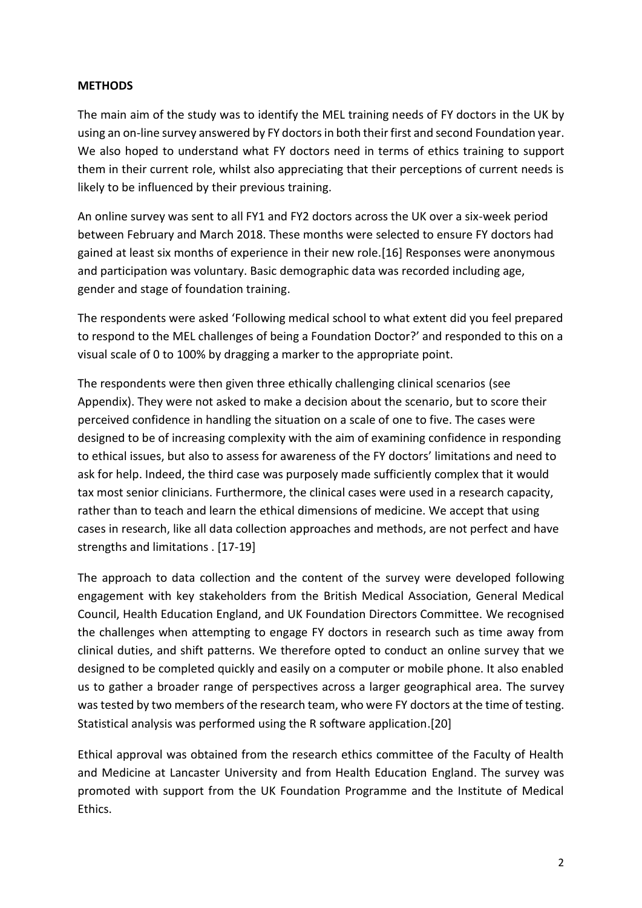### **METHODS**

The main aim of the study was to identify the MEL training needs of FY doctors in the UK by using an on-line survey answered by FY doctors in both their first and second Foundation year. We also hoped to understand what FY doctors need in terms of ethics training to support them in their current role, whilst also appreciating that their perceptions of current needs is likely to be influenced by their previous training.

An online survey was sent to all FY1 and FY2 doctors across the UK over a six-week period between February and March 2018. These months were selected to ensure FY doctors had gained at least six months of experience in their new role.[16] Responses were anonymous and participation was voluntary. Basic demographic data was recorded including age, gender and stage of foundation training.

The respondents were asked 'Following medical school to what extent did you feel prepared to respond to the MEL challenges of being a Foundation Doctor?' and responded to this on a visual scale of 0 to 100% by dragging a marker to the appropriate point.

The respondents were then given three ethically challenging clinical scenarios (see Appendix). They were not asked to make a decision about the scenario, but to score their perceived confidence in handling the situation on a scale of one to five. The cases were designed to be of increasing complexity with the aim of examining confidence in responding to ethical issues, but also to assess for awareness of the FY doctors' limitations and need to ask for help. Indeed, the third case was purposely made sufficiently complex that it would tax most senior clinicians. Furthermore, the clinical cases were used in a research capacity, rather than to teach and learn the ethical dimensions of medicine. We accept that using cases in research, like all data collection approaches and methods, are not perfect and have strengths and limitations . [17-19]

The approach to data collection and the content of the survey were developed following engagement with key stakeholders from the British Medical Association, General Medical Council, Health Education England, and UK Foundation Directors Committee. We recognised the challenges when attempting to engage FY doctors in research such as time away from clinical duties, and shift patterns. We therefore opted to conduct an online survey that we designed to be completed quickly and easily on a computer or mobile phone. It also enabled us to gather a broader range of perspectives across a larger geographical area. The survey was tested by two members of the research team, who were FY doctors at the time of testing. Statistical analysis was performed using the R software application.[20]

Ethical approval was obtained from the research ethics committee of the Faculty of Health and Medicine at Lancaster University and from Health Education England. The survey was promoted with support from the UK Foundation Programme and the Institute of Medical Ethics.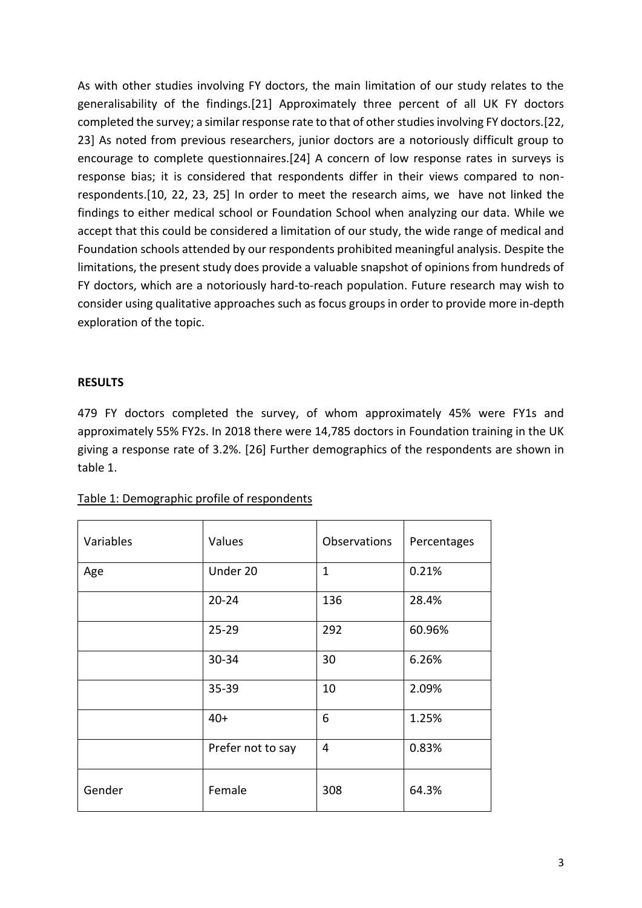As with other studies involving FY doctors, the main limitation of our study relates to the generalisability of the findings.[21] Approximately three percent of all UK FY doctors completed the survey; a similar response rate to that of other studies involving FY doctors.[22, 23] As noted from previous researchers, junior doctors are a notoriously difficult group to encourage to complete questionnaires.[24] A concern of low response rates in surveys is response bias; it is considered that respondents differ in their views compared to nonrespondents.[10, 22, 23, 25] In order to meet the research aims, we have not linked the findings to either medical school or Foundation School when analyzing our data. While we accept that this could be considered a limitation of our study, the wide range of medical and Foundation schools attended by our respondents prohibited meaningful analysis. Despite the limitations, the present study does provide a valuable snapshot of opinions from hundreds of FY doctors, which are a notoriously hard-to-reach population. Future research may wish to consider using qualitative approaches such as focus groups in order to provide more in-depth exploration of the topic.

### **RESULTS**

479 FY doctors completed the survey, of whom approximately 45% were FY1s and approximately 55% FY2s. In 2018 there were 14,785 doctors in Foundation training in the UK giving a response rate of 3.2%. [26] Further demographics of the respondents are shown in table 1.

| Variables | Values            | Observations | Percentages |
|-----------|-------------------|--------------|-------------|
| Age       | Under 20          | $\mathbf{1}$ | 0.21%       |
|           | $20 - 24$         | 136          | 28.4%       |
|           | $25 - 29$         | 292          | 60.96%      |
|           | 30-34             | 30           | 6.26%       |
|           | 35-39             | 10           | 2.09%       |
|           | $40+$             | 6            | 1.25%       |
|           | Prefer not to say | 4            | 0.83%       |
| Gender    | Female            | 308          | 64.3%       |

| Table 1: Demographic profile of respondents |
|---------------------------------------------|
|---------------------------------------------|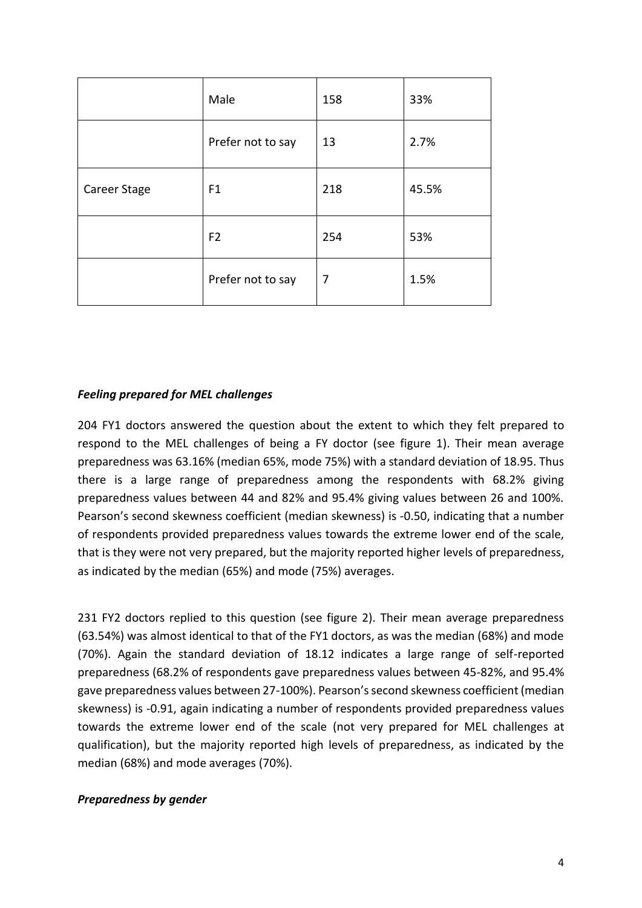|              | Male              | 158 | 33%   |
|--------------|-------------------|-----|-------|
|              | Prefer not to say | 13  | 2.7%  |
| Career Stage | F <sub>1</sub>    | 218 | 45.5% |
|              | F <sub>2</sub>    | 254 | 53%   |
|              | Prefer not to say | 7   | 1.5%  |

### *Feeling prepared for MEL challenges*

204 FY1 doctors answered the question about the extent to which they felt prepared to respond to the MEL challenges of being a FY doctor (see figure 1). Their mean average preparedness was 63.16% (median 65%, mode 75%) with a standard deviation of 18.95. Thus there is a large range of preparedness among the respondents with 68.2% giving preparedness values between 44 and 82% and 95.4% giving values between 26 and 100%. Pearson's second skewness coefficient (median skewness) is -0.50, indicating that a number of respondents provided preparedness values towards the extreme lower end of the scale, that is they were not very prepared, but the majority reported higher levels of preparedness, as indicated by the median (65%) and mode (75%) averages.

231 FY2 doctors replied to this question (see figure 2). Their mean average preparedness (63.54%) was almost identical to that of the FY1 doctors, as was the median (68%) and mode (70%). Again the standard deviation of 18.12 indicates a large range of self-reported preparedness (68.2% of respondents gave preparedness values between 45-82%, and 95.4% gave preparedness values between 27-100%). Pearson's second skewness coefficient (median skewness) is -0.91, again indicating a number of respondents provided preparedness values towards the extreme lower end of the scale (not very prepared for MEL challenges at qualification), but the majority reported high levels of preparedness, as indicated by the median (68%) and mode averages (70%).

# *Preparedness by gender*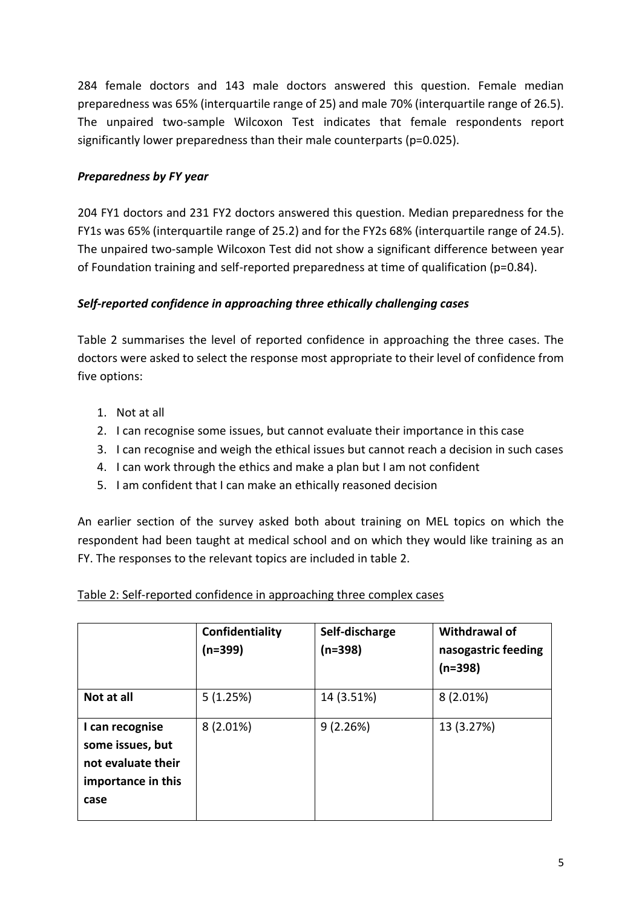284 female doctors and 143 male doctors answered this question. Female median preparedness was 65% (interquartile range of 25) and male 70% (interquartile range of 26.5). The unpaired two-sample Wilcoxon Test indicates that female respondents report significantly lower preparedness than their male counterparts (p=0.025).

# *Preparedness by FY year*

204 FY1 doctors and 231 FY2 doctors answered this question. Median preparedness for the FY1s was 65% (interquartile range of 25.2) and for the FY2s 68% (interquartile range of 24.5). The unpaired two-sample Wilcoxon Test did not show a significant difference between year of Foundation training and self-reported preparedness at time of qualification (p=0.84).

# *Self-reported confidence in approaching three ethically challenging cases*

Table 2 summarises the level of reported confidence in approaching the three cases. The doctors were asked to select the response most appropriate to their level of confidence from five options:

- 1. Not at all
- 2. I can recognise some issues, but cannot evaluate their importance in this case
- 3. I can recognise and weigh the ethical issues but cannot reach a decision in such cases
- 4. I can work through the ethics and make a plan but I am not confident
- 5. I am confident that I can make an ethically reasoned decision

An earlier section of the survey asked both about training on MEL topics on which the respondent had been taught at medical school and on which they would like training as an FY. The responses to the relevant topics are included in table 2.

|                                                                                         | Confidentiality<br>$(n=399)$ | Self-discharge<br>(n=398) | <b>Withdrawal of</b><br>nasogastric feeding<br>$(n=398)$ |
|-----------------------------------------------------------------------------------------|------------------------------|---------------------------|----------------------------------------------------------|
| Not at all                                                                              | 5(1.25%)                     | 14 (3.51%)                | $8(2.01\%)$                                              |
| I can recognise<br>some issues, but<br>not evaluate their<br>importance in this<br>case | $8(2.01\%)$                  | 9(2.26%)                  | 13 (3.27%)                                               |

# Table 2: Self-reported confidence in approaching three complex cases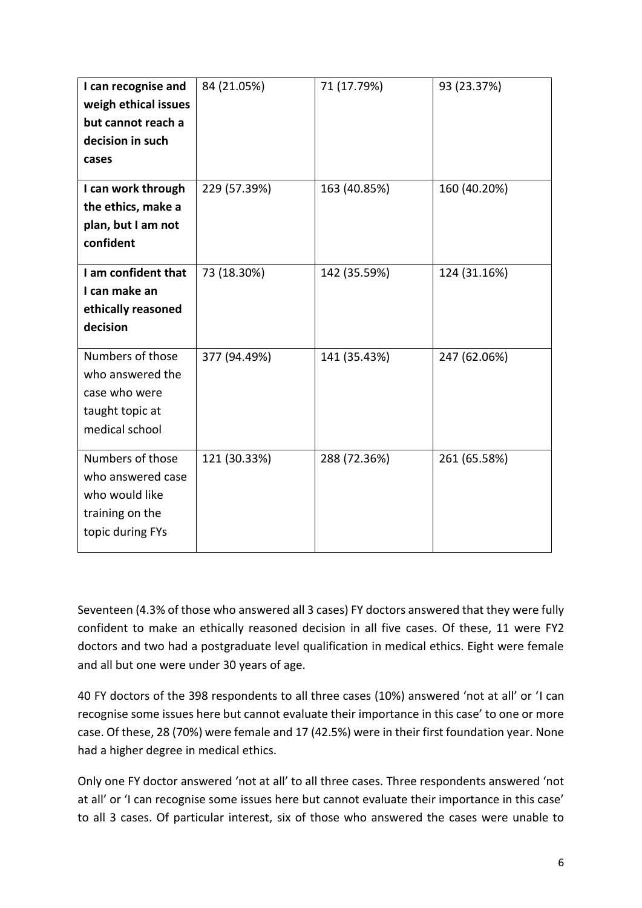| I can recognise and<br>weigh ethical issues<br>but cannot reach a<br>decision in such<br>cases | 84 (21.05%)  | 71 (17.79%)  | 93 (23.37%)  |
|------------------------------------------------------------------------------------------------|--------------|--------------|--------------|
| I can work through<br>the ethics, make a<br>plan, but I am not<br>confident                    | 229 (57.39%) | 163 (40.85%) | 160 (40.20%) |
| I am confident that<br>I can make an<br>ethically reasoned<br>decision                         | 73 (18.30%)  | 142 (35.59%) | 124 (31.16%) |
| Numbers of those<br>who answered the<br>case who were<br>taught topic at<br>medical school     | 377 (94.49%) | 141 (35.43%) | 247 (62.06%) |
| Numbers of those<br>who answered case<br>who would like<br>training on the<br>topic during FYs | 121 (30.33%) | 288 (72.36%) | 261 (65.58%) |

Seventeen (4.3% of those who answered all 3 cases) FY doctors answered that they were fully confident to make an ethically reasoned decision in all five cases. Of these, 11 were FY2 doctors and two had a postgraduate level qualification in medical ethics. Eight were female and all but one were under 30 years of age.

40 FY doctors of the 398 respondents to all three cases (10%) answered 'not at all' or 'I can recognise some issues here but cannot evaluate their importance in this case' to one or more case. Of these, 28 (70%) were female and 17 (42.5%) were in their first foundation year. None had a higher degree in medical ethics.

Only one FY doctor answered 'not at all' to all three cases. Three respondents answered 'not at all' or 'I can recognise some issues here but cannot evaluate their importance in this case' to all 3 cases. Of particular interest, six of those who answered the cases were unable to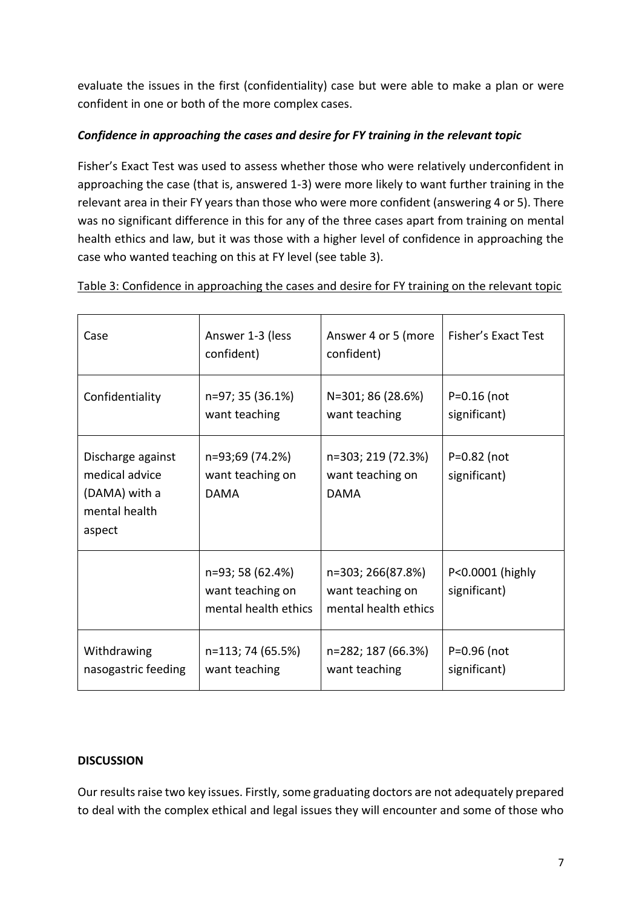evaluate the issues in the first (confidentiality) case but were able to make a plan or were confident in one or both of the more complex cases.

# *Confidence in approaching the cases and desire for FY training in the relevant topic*

Fisher's Exact Test was used to assess whether those who were relatively underconfident in approaching the case (that is, answered 1-3) were more likely to want further training in the relevant area in their FY years than those who were more confident (answering 4 or 5). There was no significant difference in this for any of the three cases apart from training on mental health ethics and law, but it was those with a higher level of confidence in approaching the case who wanted teaching on this at FY level (see table 3).

| Case                                                                            | Answer 1-3 (less<br>confident)                               | Answer 4 or 5 (more<br>confident)                             | <b>Fisher's Exact Test</b>       |
|---------------------------------------------------------------------------------|--------------------------------------------------------------|---------------------------------------------------------------|----------------------------------|
| Confidentiality                                                                 | n=97; 35 (36.1%)<br>want teaching                            | N=301; 86 (28.6%)<br>want teaching                            | $P = 0.16$ (not<br>significant)  |
| Discharge against<br>medical advice<br>(DAMA) with a<br>mental health<br>aspect | n=93;69 (74.2%)<br>want teaching on<br><b>DAMA</b>           | n=303; 219 (72.3%)<br>want teaching on<br><b>DAMA</b>         | $P = 0.82$ (not<br>significant)  |
|                                                                                 | n=93; 58 (62.4%)<br>want teaching on<br>mental health ethics | n=303; 266(87.8%)<br>want teaching on<br>mental health ethics | P<0.0001 (highly<br>significant) |
| Withdrawing<br>nasogastric feeding                                              | n=113; 74 (65.5%)<br>want teaching                           | n=282; 187 (66.3%)<br>want teaching                           | P=0.96 (not<br>significant)      |

Table 3: Confidence in approaching the cases and desire for FY training on the relevant topic

# **DISCUSSION**

Our results raise two key issues. Firstly, some graduating doctors are not adequately prepared to deal with the complex ethical and legal issues they will encounter and some of those who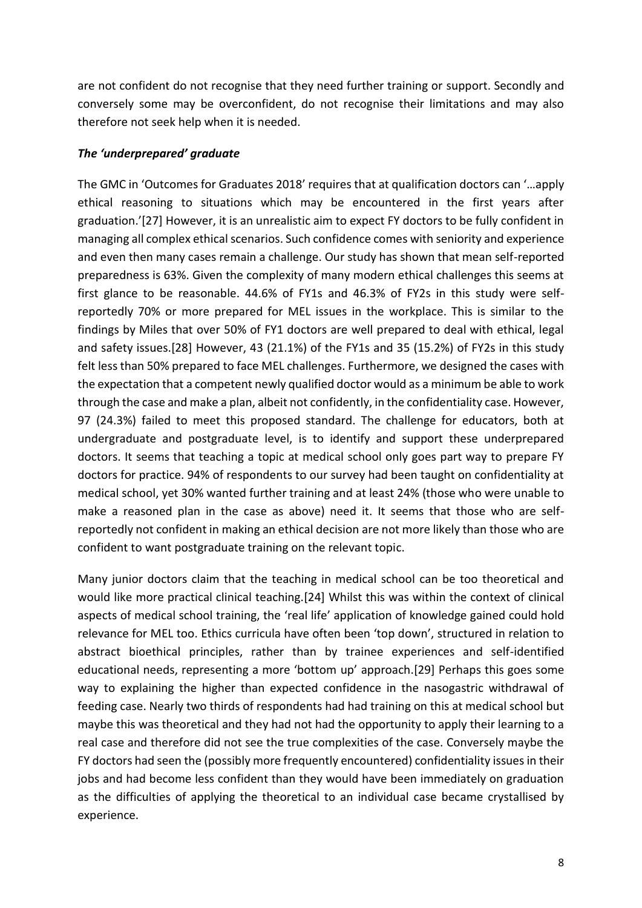are not confident do not recognise that they need further training or support. Secondly and conversely some may be overconfident, do not recognise their limitations and may also therefore not seek help when it is needed.

#### *The 'underprepared' graduate*

The GMC in 'Outcomes for Graduates 2018' requires that at qualification doctors can '…apply ethical reasoning to situations which may be encountered in the first years after graduation.'[27] However, it is an unrealistic aim to expect FY doctors to be fully confident in managing all complex ethical scenarios. Such confidence comes with seniority and experience and even then many cases remain a challenge. Our study has shown that mean self-reported preparedness is 63%. Given the complexity of many modern ethical challenges this seems at first glance to be reasonable. 44.6% of FY1s and 46.3% of FY2s in this study were selfreportedly 70% or more prepared for MEL issues in the workplace. This is similar to the findings by Miles that over 50% of FY1 doctors are well prepared to deal with ethical, legal and safety issues.[28] However, 43 (21.1%) of the FY1s and 35 (15.2%) of FY2s in this study felt less than 50% prepared to face MEL challenges. Furthermore, we designed the cases with the expectation that a competent newly qualified doctor would as a minimum be able to work through the case and make a plan, albeit not confidently, in the confidentiality case. However, 97 (24.3%) failed to meet this proposed standard. The challenge for educators, both at undergraduate and postgraduate level, is to identify and support these underprepared doctors. It seems that teaching a topic at medical school only goes part way to prepare FY doctors for practice. 94% of respondents to our survey had been taught on confidentiality at medical school, yet 30% wanted further training and at least 24% (those who were unable to make a reasoned plan in the case as above) need it. It seems that those who are selfreportedly not confident in making an ethical decision are not more likely than those who are confident to want postgraduate training on the relevant topic.

Many junior doctors claim that the teaching in medical school can be too theoretical and would like more practical clinical teaching.[24] Whilst this was within the context of clinical aspects of medical school training, the 'real life' application of knowledge gained could hold relevance for MEL too. Ethics curricula have often been 'top down', structured in relation to abstract bioethical principles, rather than by trainee experiences and self-identified educational needs, representing a more 'bottom up' approach.[29] Perhaps this goes some way to explaining the higher than expected confidence in the nasogastric withdrawal of feeding case. Nearly two thirds of respondents had had training on this at medical school but maybe this was theoretical and they had not had the opportunity to apply their learning to a real case and therefore did not see the true complexities of the case. Conversely maybe the FY doctors had seen the (possibly more frequently encountered) confidentiality issues in their jobs and had become less confident than they would have been immediately on graduation as the difficulties of applying the theoretical to an individual case became crystallised by experience.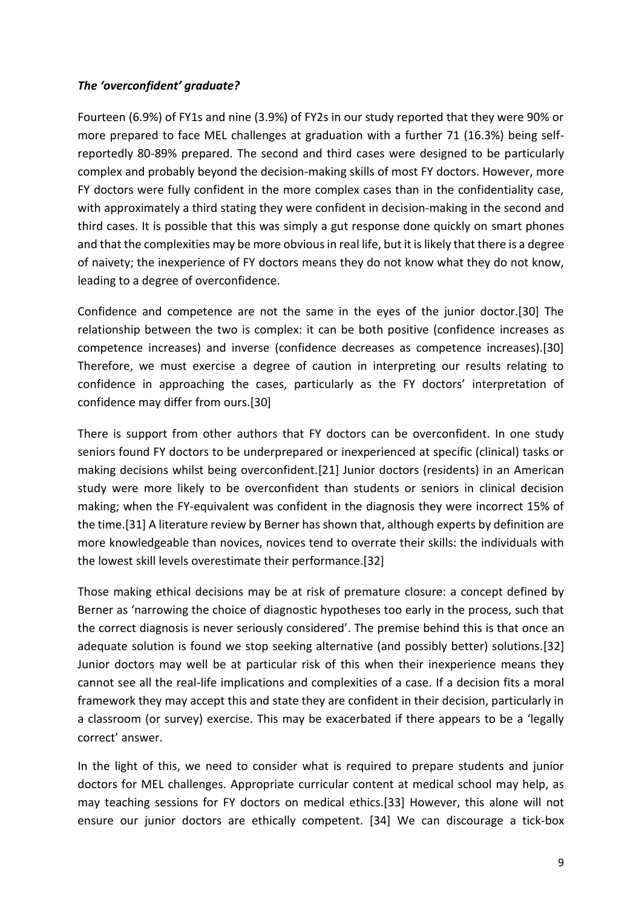# *The 'overconfident' graduate?*

Fourteen (6.9%) of FY1s and nine (3.9%) of FY2s in our study reported that they were 90% or more prepared to face MEL challenges at graduation with a further 71 (16.3%) being selfreportedly 80-89% prepared. The second and third cases were designed to be particularly complex and probably beyond the decision-making skills of most FY doctors. However, more FY doctors were fully confident in the more complex cases than in the confidentiality case, with approximately a third stating they were confident in decision-making in the second and third cases. It is possible that this was simply a gut response done quickly on smart phones and that the complexities may be more obvious in real life, but it is likely that there is a degree of naivety; the inexperience of FY doctors means they do not know what they do not know, leading to a degree of overconfidence.

Confidence and competence are not the same in the eyes of the junior doctor.[30] The relationship between the two is complex: it can be both positive (confidence increases as competence increases) and inverse (confidence decreases as competence increases).[30] Therefore, we must exercise a degree of caution in interpreting our results relating to confidence in approaching the cases, particularly as the FY doctors' interpretation of confidence may differ from ours.[30]

There is support from other authors that FY doctors can be overconfident. In one study seniors found FY doctors to be underprepared or inexperienced at specific (clinical) tasks or making decisions whilst being overconfident.[21] Junior doctors (residents) in an American study were more likely to be overconfident than students or seniors in clinical decision making; when the FY-equivalent was confident in the diagnosis they were incorrect 15% of the time.[31] A literature review by Berner has shown that, although experts by definition are more knowledgeable than novices, novices tend to overrate their skills: the individuals with the lowest skill levels overestimate their performance.[32]

Those making ethical decisions may be at risk of premature closure: a concept defined by Berner as 'narrowing the choice of diagnostic hypotheses too early in the process, such that the correct diagnosis is never seriously considered'. The premise behind this is that once an adequate solution is found we stop seeking alternative (and possibly better) solutions.[32] Junior doctors may well be at particular risk of this when their inexperience means they cannot see all the real-life implications and complexities of a case. If a decision fits a moral framework they may accept this and state they are confident in their decision, particularly in a classroom (or survey) exercise. This may be exacerbated if there appears to be a 'legally correct' answer.

In the light of this, we need to consider what is required to prepare students and junior doctors for MEL challenges. Appropriate curricular content at medical school may help, as may teaching sessions for FY doctors on medical ethics.[33] However, this alone will not ensure our junior doctors are ethically competent. [34] We can discourage a tick-box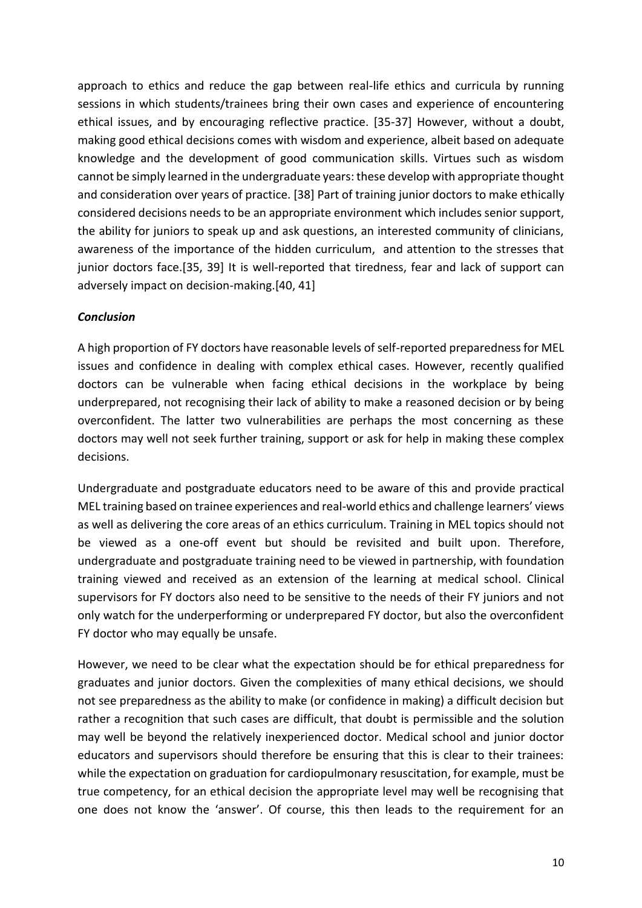approach to ethics and reduce the gap between real-life ethics and curricula by running sessions in which students/trainees bring their own cases and experience of encountering ethical issues, and by encouraging reflective practice. [35-37] However, without a doubt, making good ethical decisions comes with wisdom and experience, albeit based on adequate knowledge and the development of good communication skills. Virtues such as wisdom cannot be simply learned in the undergraduate years: these develop with appropriate thought and consideration over years of practice. [38] Part of training junior doctors to make ethically considered decisions needs to be an appropriate environment which includes senior support, the ability for juniors to speak up and ask questions, an interested community of clinicians, awareness of the importance of the hidden curriculum, and attention to the stresses that junior doctors face.[35, 39] It is well-reported that tiredness, fear and lack of support can adversely impact on decision-making.[40, 41]

# *Conclusion*

A high proportion of FY doctors have reasonable levels of self-reported preparedness for MEL issues and confidence in dealing with complex ethical cases. However, recently qualified doctors can be vulnerable when facing ethical decisions in the workplace by being underprepared, not recognising their lack of ability to make a reasoned decision or by being overconfident. The latter two vulnerabilities are perhaps the most concerning as these doctors may well not seek further training, support or ask for help in making these complex decisions.

Undergraduate and postgraduate educators need to be aware of this and provide practical MEL training based on trainee experiences and real-world ethics and challenge learners' views as well as delivering the core areas of an ethics curriculum. Training in MEL topics should not be viewed as a one-off event but should be revisited and built upon. Therefore, undergraduate and postgraduate training need to be viewed in partnership, with foundation training viewed and received as an extension of the learning at medical school. Clinical supervisors for FY doctors also need to be sensitive to the needs of their FY juniors and not only watch for the underperforming or underprepared FY doctor, but also the overconfident FY doctor who may equally be unsafe.

However, we need to be clear what the expectation should be for ethical preparedness for graduates and junior doctors. Given the complexities of many ethical decisions, we should not see preparedness as the ability to make (or confidence in making) a difficult decision but rather a recognition that such cases are difficult, that doubt is permissible and the solution may well be beyond the relatively inexperienced doctor. Medical school and junior doctor educators and supervisors should therefore be ensuring that this is clear to their trainees: while the expectation on graduation for cardiopulmonary resuscitation, for example, must be true competency, for an ethical decision the appropriate level may well be recognising that one does not know the 'answer'. Of course, this then leads to the requirement for an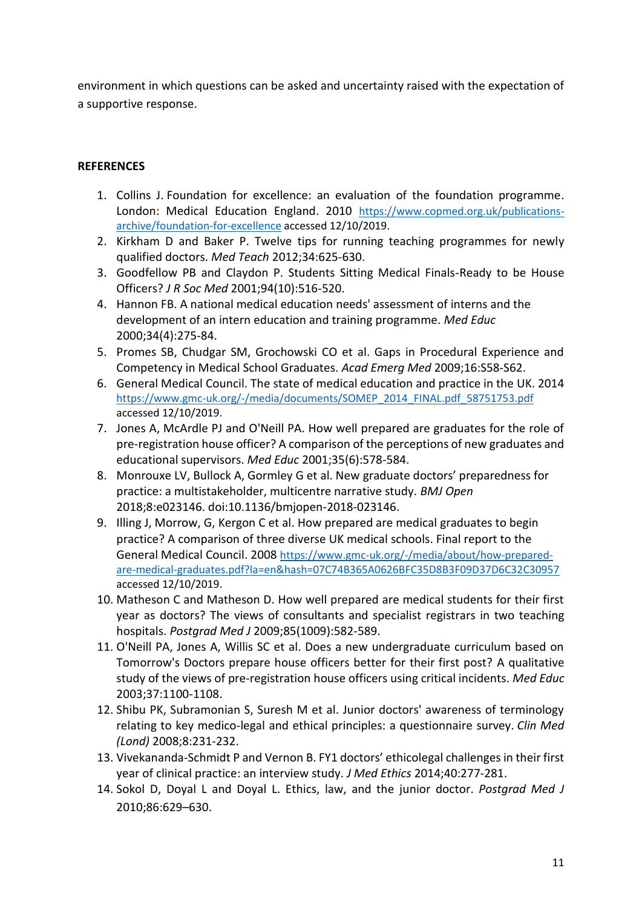environment in which questions can be asked and uncertainty raised with the expectation of a supportive response.

### **REFERENCES**

- 1. Collins J. Foundation for excellence: an evaluation of the foundation programme. London: Medical Education England. 2010 [https://www.copmed.org.uk/publications](https://www.copmed.org.uk/publications-archive/foundation-for-excellence)[archive/foundation-for-excellence](https://www.copmed.org.uk/publications-archive/foundation-for-excellence) accessed 12/10/2019.
- 2. Kirkham D and Baker P. Twelve tips for running teaching programmes for newly qualified doctors. *Med Teach* 2012;34:625-630.
- 3. Goodfellow PB and Claydon P. Students Sitting Medical Finals-Ready to be House Officers? *J R Soc Med* 2001;94(10):516-520.
- 4. Hannon FB. A national medical education needs' assessment of interns and the development of an intern education and training programme. *Med Educ* 2000;34(4):275-84.
- 5. Promes SB, Chudgar SM, Grochowski CO et al. Gaps in Procedural Experience and Competency in Medical School Graduates. *Acad Emerg Med* 2009;16:S58-S62.
- 6. General Medical Council. The state of medical education and practice in the UK. 2014 [https://www.gmc-uk.org/-/media/documents/SOMEP\\_2014\\_FINAL.pdf\\_58751753.pdf](https://www.gmc-uk.org/-/media/documents/SOMEP_2014_FINAL.pdf_58751753.pdf) accessed 12/10/2019.
- 7. Jones A, McArdle PJ and O'Neill PA. How well prepared are graduates for the role of pre‐registration house officer? A comparison of the perceptions of new graduates and educational supervisors. *Med Educ* 2001;35(6):578-584.
- 8. Monrouxe LV, Bullock A, Gormley G et al. New graduate doctors' preparedness for practice: a multistakeholder, multicentre narrative study. *BMJ Open* 2018;8:e023146. doi:10.1136/bmjopen-2018-023146.
- 9. Illing J, Morrow, G, Kergon C et al. How prepared are medical graduates to begin practice? A comparison of three diverse UK medical schools. Final report to the General Medical Council. 2008 [https://www.gmc-uk.org/-/media/about/how-prepared](https://www.gmc-uk.org/-/media/about/how-prepared-are-medical-graduates.pdf?la=en&hash=07C74B365A0626BFC35D8B3F09D37D6C32C30957)[are-medical-graduates.pdf?la=en&hash=07C74B365A0626BFC35D8B3F09D37D6C32C30957](https://www.gmc-uk.org/-/media/about/how-prepared-are-medical-graduates.pdf?la=en&hash=07C74B365A0626BFC35D8B3F09D37D6C32C30957) accessed 12/10/2019.
- 10. Matheson C and Matheson D. How well prepared are medical students for their first year as doctors? The views of consultants and specialist registrars in two teaching hospitals. *Postgrad Med J* 2009;85(1009):582-589.
- 11. O'Neill PA, Jones A, Willis SC et al. Does a new undergraduate curriculum based on Tomorrow's Doctors prepare house officers better for their first post? A qualitative study of the views of pre‐registration house officers using critical incidents. *Med Educ* 2003;37:1100-1108.
- 12. Shibu PK, Subramonian S, Suresh M et al. Junior doctors' awareness of terminology relating to key medico-legal and ethical principles: a questionnaire survey. *Clin Med (Lond)* 2008;8:231-232.
- 13. Vivekananda-Schmidt P and Vernon B. FY1 doctors' ethicolegal challenges in their first year of clinical practice: an interview study. *J Med Ethics* 2014;40:277-281.
- 14. Sokol D, Doyal L and Doyal L. Ethics, law, and the junior doctor. *Postgrad Med J*  2010;86:629–630.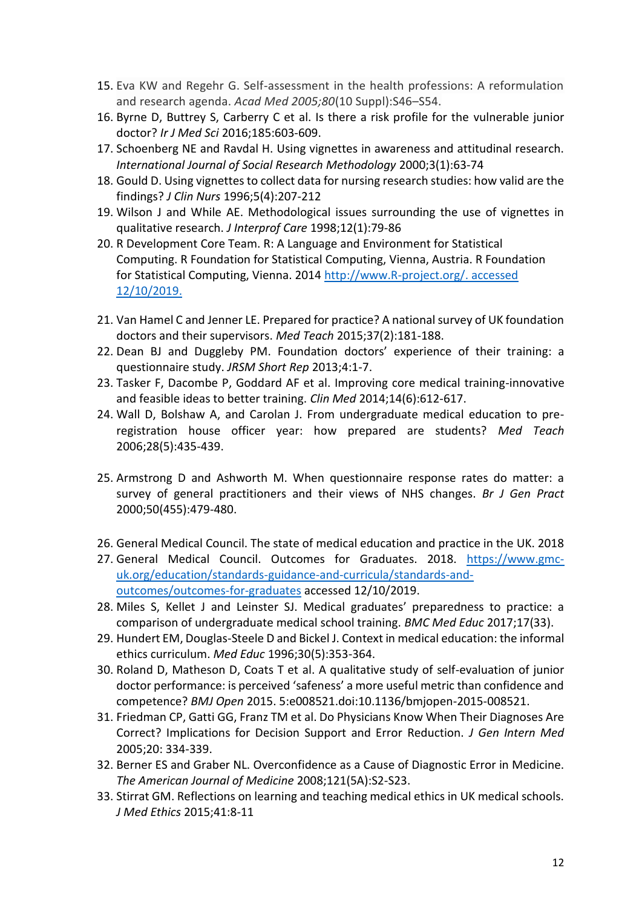- 15. Eva KW and Regehr G. Self-assessment in the health professions: A reformulation and research agenda. *Acad Med 2005;80*(10 Suppl):S46–S54.
- 16. Byrne D, Buttrey S, Carberry C et al. Is there a risk profile for the vulnerable junior doctor? *Ir J Med Sci* 2016;185:603-609.
- 17. Schoenberg NE and Ravdal H. Using vignettes in awareness and attitudinal research. *International Journal of Social Research Methodology* 2000;3(1):63-74
- 18. Gould D. Using vignettes to collect data for nursing research studies: how valid are the findings? *J Clin Nurs* 1996;5(4):207-212
- 19. Wilson J and While AE. Methodological issues surrounding the use of vignettes in qualitative research. *J Interprof Care* 1998;12(1):79-86
- 20. R Development Core Team. R: A Language and Environment for Statistical Computing. R Foundation for Statistical Computing, Vienna, Austria. R Foundation for Statistical Computing, Vienna. 2014 [http://www.R-project.org/.](http://www.r-project.org/) accessed 12/10/2019.
- 21. Van Hamel C and Jenner LE. Prepared for practice? A national survey of UK foundation doctors and their supervisors. *Med Teach* 2015;37(2):181-188.
- 22. Dean BJ and Duggleby PM. Foundation doctors' experience of their training: a questionnaire study. *JRSM Short Rep* 2013;4:1-7.
- 23. Tasker F, Dacombe P, Goddard AF et al. Improving core medical training-innovative and feasible ideas to better training. *Clin Med* 2014;14(6):612-617.
- 24. Wall D, Bolshaw A, and Carolan J. From undergraduate medical education to preregistration house officer year: how prepared are students? *Med Teach* 2006;28(5):435-439.
- 25. Armstrong D and Ashworth M. When questionnaire response rates do matter: a survey of general practitioners and their views of NHS changes. *Br J Gen Pract* 2000;50(455):479-480.
- 26. General Medical Council. The state of medical education and practice in the UK. 2018
- 27. General Medical Council. Outcomes for Graduates. 2018. [https://www.gmc](https://www.gmc-uk.org/education/standards-guidance-and-curricula/standards-and-outcomes/outcomes-for-graduates)[uk.org/education/standards-guidance-and-curricula/standards-and](https://www.gmc-uk.org/education/standards-guidance-and-curricula/standards-and-outcomes/outcomes-for-graduates)[outcomes/outcomes-for-graduates](https://www.gmc-uk.org/education/standards-guidance-and-curricula/standards-and-outcomes/outcomes-for-graduates) accessed 12/10/2019.
- 28. Miles S, Kellet J and Leinster SJ. Medical graduates' preparedness to practice: a comparison of undergraduate medical school training. *BMC Med Educ* 2017;17(33).
- 29. Hundert EM, Douglas‐Steele D and Bickel J. Context in medical education: the informal ethics curriculum. *Med Educ* 1996;30(5):353-364.
- 30. Roland D, Matheson D, Coats T et al. A qualitative study of self-evaluation of junior doctor performance: is perceived 'safeness' a more useful metric than confidence and competence? *BMJ Open* 2015. 5:e008521.doi:10.1136/bmjopen-2015-008521.
- 31. Friedman CP, Gatti GG, Franz TM et al. Do Physicians Know When Their Diagnoses Are Correct? Implications for Decision Support and Error Reduction. *J Gen Intern Med* 2005;20: 334-339.
- 32. Berner ES and Graber NL. Overconfidence as a Cause of Diagnostic Error in Medicine. *The American Journal of Medicine* 2008;121(5A):S2-S23.
- 33. Stirrat GM. Reflections on learning and teaching medical ethics in UK medical schools. *J Med Ethics* 2015;41:8-11